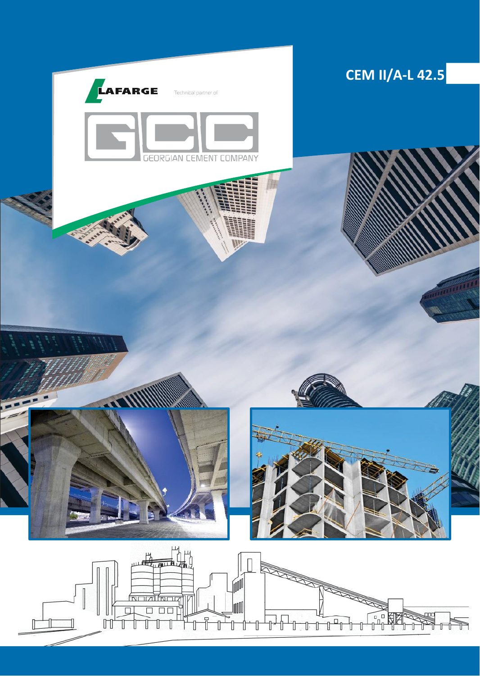